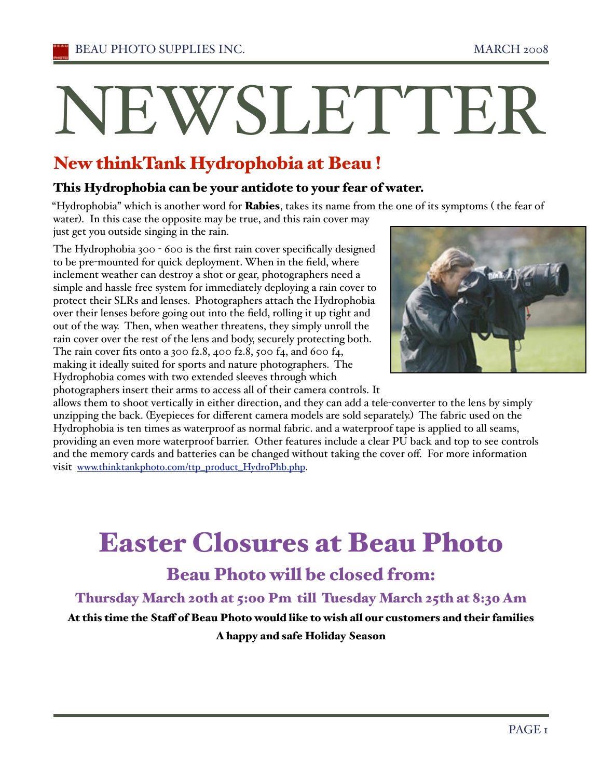# NEWSLETTER

# New thinkTank Hydrophobia at Beau !

#### This Hydrophobia can be your antidote to your fear of water.

"Hydrophobia" which is another word for Rabies, takes its name from the one of its symptoms (the fear of water). In this case the opposite may be true, and this rain cover may

just get you outside singing in the rain.

The Hydrophobia 300 - 600 is the first rain cover specifically designed to be pre-mounted for quick deployment. When in the field, where inclement weather can destroy a shot or gear, photographers need a simple and hassle free system for immediately deploying a rain cover to protect their SLRs and lenses. Photographers attach the Hydrophobia over their lenses before going out into the field, rolling it up tight and out of the way. Then, when weather threatens, they simply unroll the rain cover over the rest of the lens and body, securely protecting both. The rain cover fits onto a 300 f2.8, 400 f2.8, 500 f4, and 600 f4, making it ideally suited for sports and nature photographers. The Hydrophobia comes with two extended sleeves through which photographers insert their arms to access all of their camera controls. It



allows them to shoot vertically in either direction, and they can add a tele-converter to the lens by simply unzipping the back. (Eyepieces for different camera models are sold separately.) The fabric used on the Hydrophobia is ten times as waterproof as normal fabric. and a waterproof tape is applied to all seams, providing an even more waterproof barrier. Other features include a clear PU back and top to see controls and the memory cards and batteries can be changed without taking the cover off. For more information visit www.thinktankphoto.com/ttp\_product\_HydroPhb.php.

# Easter Closures at Beau Photo

# Beau Photo will be closed from:

## Thursday March 20th at 5:00 Pm till Tuesday March 25th at 8:30 Am

# At this time the Staff of Beau Photo would like to wish all our customers and their families

A happy and safe Holiday Season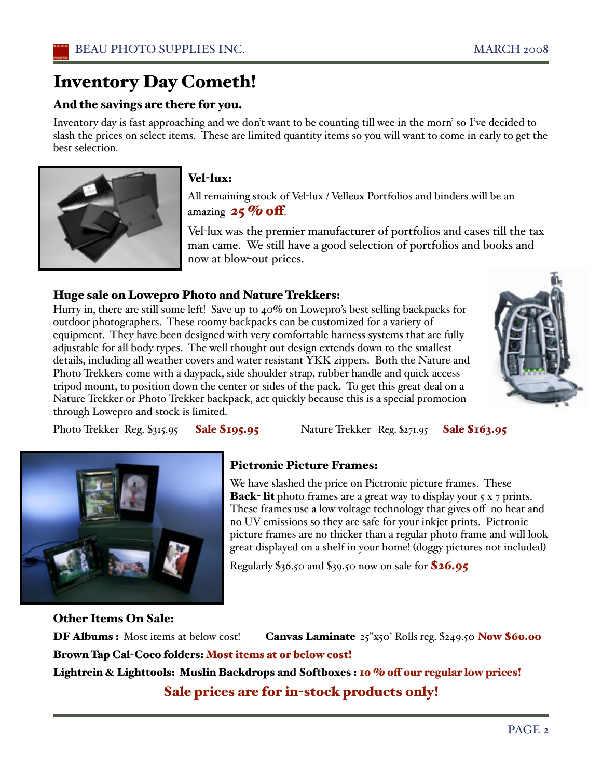# Inventory Day Cometh!

#### And the savings are there for you.

Inventory day is fast approaching and we don't want to be counting till wee in the morn' so I've decided to slash the prices on select items. These are limited quantity items so you will want to come in early to get the best selection.



#### Vel-lux:

All remaining stock of Vel-lux / Velleux Portfolios and binders will be an amazing  $25\%$  off.

Vel-lux was the premier manufacturer of portfolios and cases till the tax man came. We still have a good selection of portfolios and books and now at blow-out prices.

#### Huge sale on Lowepro Photo and Nature Trekkers:

Hurry in, there are still some left! Save up to 40% on Lowepro's best selling backpacks for outdoor photographers. These roomy backpacks can be customized for a variety of equipment. They have been designed with very comfortable harness systems that are fully adjustable for all body types. The well thought out design extends down to the smallest details, including all weather covers and water resistant YKK zippers. Both the Nature and Photo Trekkers come with a daypack, side shoulder strap, rubber handle and quick access tripod mount, to position down the center or sides of the pack. To get this great deal on a Nature Trekker or Photo Trekker backpack, act quickly because this is a special promotion through Lowepro and stock is limited.



Photo Trekker Reg. \$315.95 **Sale \$195.95** Nature Trekker Reg. \$271.95 **Sale \$163.95** 



## Pictronic Picture Frames:

We have slashed the price on Pictronic picture frames. These **Back- lit** photo frames are a great way to display your  $5 \times 7$  prints. These frames use a low voltage technology that gives off no heat and no UV emissions so they are safe for your inkjet prints. Pictronic picture frames are no thicker than a regular photo frame and will look great displayed on a shelf in your home! (doggy pictures not included)

Regularly \$36.50 and \$39.50 now on sale for \$26.95

Other Items On Sale:

DF Albums : Most items at below cost! Canvas Laminate 25"x50' Rolls reg. \$249.50 Now \$60.00 Brown Tap Cal-Coco folders: Most items at or below cost! Lightrein & Lighttools: Muslin Backdrops and Softboxes : 10 % off our regular low prices! Sale prices are for in-stock products only!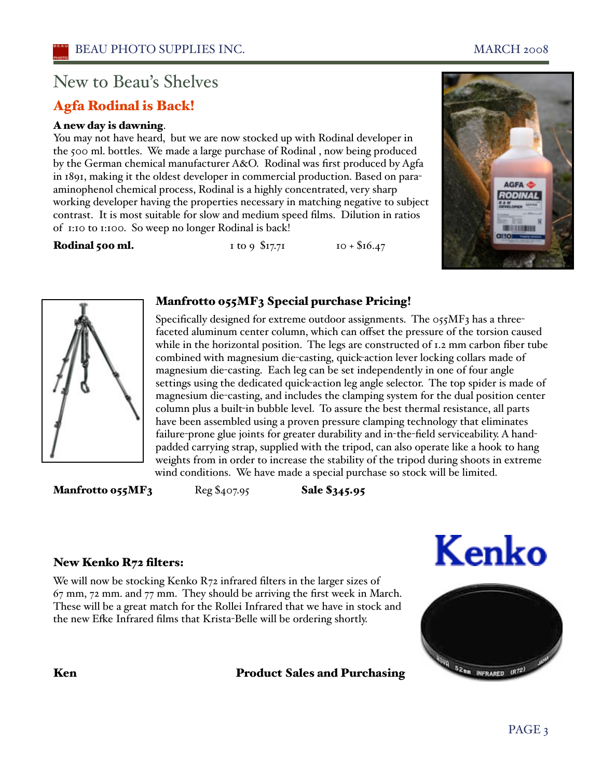# New to Beau's Shelves

## Agfa Rodinal is Back!

#### A new day is dawning.

You may not have heard, but we are now stocked up with Rodinal developer in the 500 ml. bottles. We made a large purchase of Rodinal , now being produced by the German chemical manufacturer A&O. Rodinal was first produced by Agfa in 1891, making it the oldest developer in commercial production. Based on paraaminophenol chemical process, Rodinal is a highly concentrated, very sharp working developer having the properties necessary in matching negative to subject contrast. It is most suitable for slow and medium speed films. Dilution in ratios of 1:10 to 1:100. So weep no longer Rodinal is back!

#### **Rodinal 500 ml.** 1 to 9  $$17.71$  10 +  $$16.47$





#### Manfrotto 055MF3 Special purchase Pricing!

Specifically designed for extreme outdoor assignments. The 055MF3 has a threefaceted aluminum center column, which can offset the pressure of the torsion caused while in the horizontal position. The legs are constructed of 1.2 mm carbon fiber tube combined with magnesium die-casting, quick-action lever locking collars made of magnesium die-casting. Each leg can be set independently in one of four angle settings using the dedicated quick-action leg angle selector. The top spider is made of magnesium die-casting, and includes the clamping system for the dual position center column plus a built-in bubble level. To assure the best thermal resistance, all parts have been assembled using a proven pressure clamping technology that eliminates failure-prone glue joints for greater durability and in-the-field serviceability. A handpadded carrying strap, supplied with the tripod, can also operate like a hook to hang weights from in order to increase the stability of the tripod during shoots in extreme wind conditions. We have made a special purchase so stock will be limited.

**Manfrotto 055MF3**  $\text{Reg } $407.95$  **Sale**  $$345.95$ 





## New Kenko R72 filters:

We will now be stocking Kenko R72 infrared filters in the larger sizes of 67 mm, 72 mm. and 77 mm. They should be arriving the first week in March. These will be a great match for the Rollei Infrared that we have in stock and the new Efke Infrared films that Krista-Belle will be ordering shortly.

Ken Product Sales and Purchasing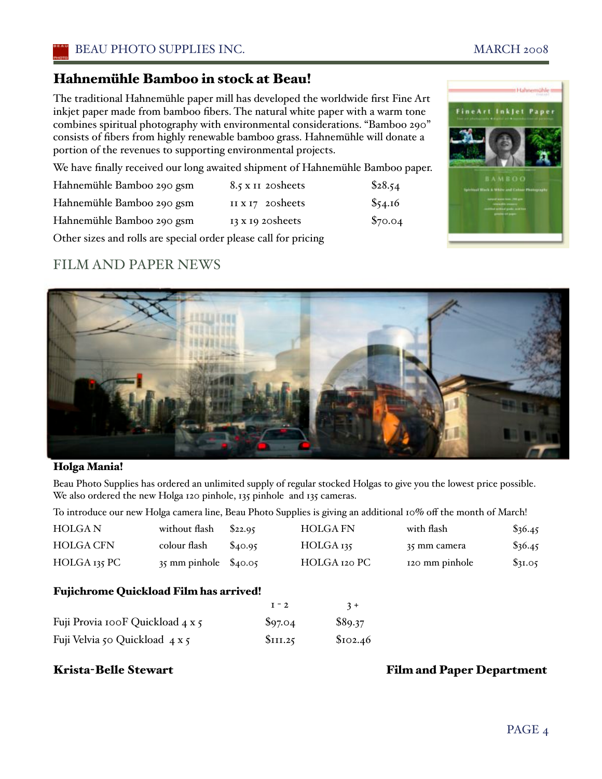## Hahnemühle Bamboo in stock at Beau!

The traditional Hahnemühle paper mill has developed the worldwide first Fine Art inkjet paper made from bamboo fibers. The natural white paper with a warm tone combines spiritual photography with environmental considerations. "Bamboo 290" consists of fibers from highly renewable bamboo grass. Hahnemühle will donate a portion of the revenues to supporting environmental projects.

We have finally received our long awaited shipment of Hahnemühle Bamboo paper.

| Hahnemühle Bamboo 290 gsm | 8.5 x II 20 sheets       | \$28.54 |
|---------------------------|--------------------------|---------|
| Hahnemühle Bamboo 290 gsm | II $x_17$ 20 sheets      | \$54.16 |
| Hahnemühle Bamboo 290 gsm | $13 \times 19$ 20 sheets | \$70.04 |

Other sizes and rolls are special order please call for pricing

## FILM AND PAPER NEWS



#### Holga Mania!

Beau Photo Supplies has ordered an unlimited supply of regular stocked Holgas to give you the lowest price possible. We also ordered the new Holga 120 pinhole, 135 pinhole and 135 cameras.

To introduce our new Holga camera line, Beau Photo Supplies is giving an additional 10% off the month of March!

| <b>HOLGAN</b>                                                     | without flash | \$22.95 | <b>HOLGA FN</b>      | with flash     | \$36.45   |  |  |  |
|-------------------------------------------------------------------|---------------|---------|----------------------|----------------|-----------|--|--|--|
| <b>HOLGA CFN</b>                                                  | colour flash  | \$40.95 | HOLGA <sub>135</sub> | 35 mm camera   | $\$36.45$ |  |  |  |
| HOLGA 135 PC                                                      | 35 mm pinhole | \$40.05 | HOLGA 120 PC         | 120 mm pinhole | \$31.05   |  |  |  |
| <b>Fujichrome Quickload Film has arrived!</b><br>$I - 2$<br>$3 +$ |               |         |                      |                |           |  |  |  |
| Fuji Provia 100F Quickload 4 x 5                                  |               | \$97.04 | \$89.37              |                |           |  |  |  |

Fuji Velvia 50 Quickload  $4 \times 5$  \$111.25 \$102.46

#### Krista-Belle Stewart Film and Paper Department

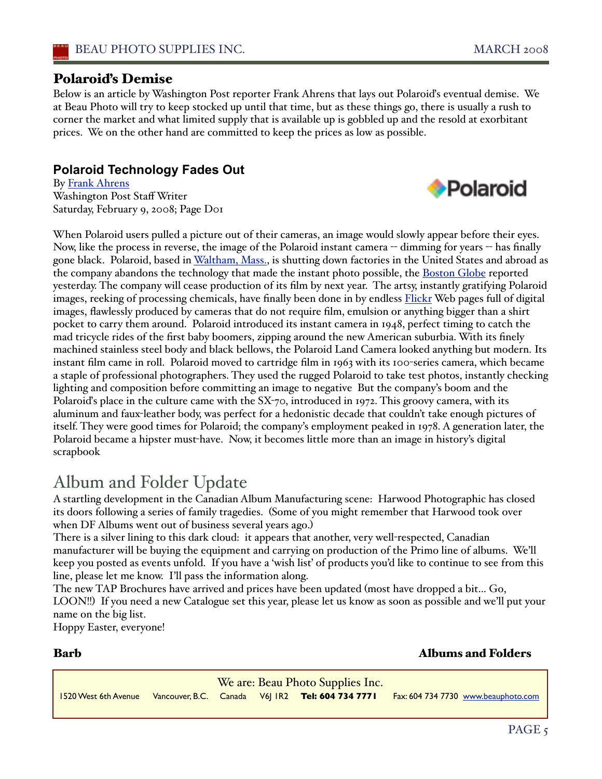**Polaroid** 

#### Polaroiďs Demise

Below is an article by Washington Post reporter Frank Ahrens that lays out Polaroiďs eventual demise. We at Beau Photo will try to keep stocked up until that time, but as these things go, there is usually a rush to corner the market and what limited supply that is available up is gobbled up and the resold at exorbitant prices. We on the other hand are committed to keep the prices as low as possible.

#### **Polaroid Technology Fades Out**

By Frank Ahrens Washington Post Staff Writer Saturday, February 9, 2008; Page D01



# Album and Folder Update

A startling development in the Canadian Album Manufacturing scene: Harwood Photographic has closed its doors following a series of family tragedies. (Some of you might remember that Harwood took over when DF Albums went out of business several years ago.)

There is a silver lining to this dark cloud: it appears that another, very well-respected, Canadian manufacturer will be buying the equipment and carrying on production of the Primo line of albums. We'll keep you posted as events unfold. If you have a 'wish lisť of products you'd like to continue to see from this line, please let me know. I'll pass the information along.

The new TAP Brochures have arrived and prices have been updated (most have dropped a bit... Go, LOON!!) If you need a new Catalogue set this year, please let us know as soon as possible and we'll put your name on the big list.

Hoppy Easter, everyone!

#### Barb Albums and Folders

We are: Beau Photo Supplies Inc. 1520 West 6th Avenue Vancouver, B.C. Canada V6J 1R2 **Tel: 604 734 7771** Fax: 604 734 7730 www.beauphoto.com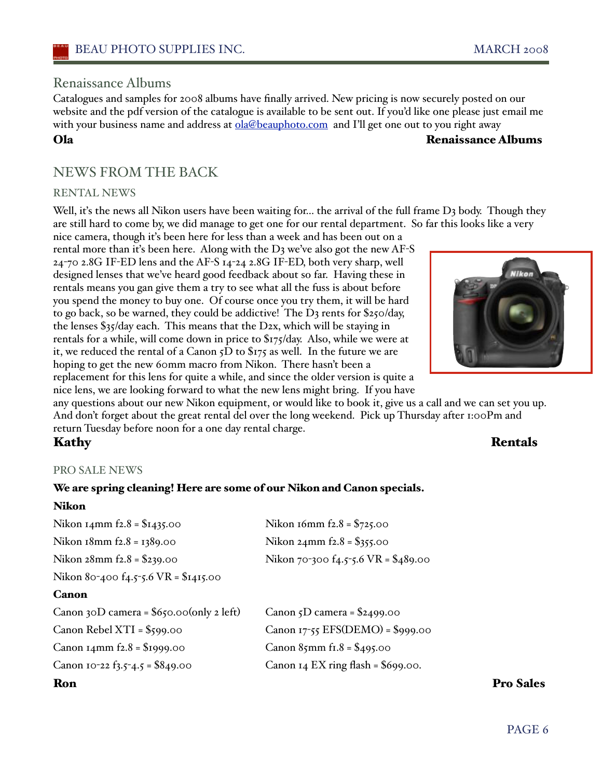#### Renaissance Albums

Catalogues and samples for 2008 albums have finally arrived. New pricing is now securely posted on our website and the pdf version of the catalogue is available to be sent out. If you'd like one please just email me with your business name and address at **ola@beauphoto.com** and I'll get one out to you right away

Ola Renaissance Albums

## NEWS FROM THE BACK

#### RENTAL NEWS

Well, it's the news all Nikon users have been waiting for... the arrival of the full frame D<sub>3</sub> body. Though they are still hard to come by, we did manage to get one for our rental department. So far this looks like a very

nice camera, though iťs been here for less than a week and has been out on a rental more than it's been here. Along with the D3 we've also got the new AF-S 24-70 2.8G IF-ED lens and the AF-S 14-24 2.8G IF-ED, both very sharp, well designed lenses that we've heard good feedback about so far. Having these in rentals means you gan give them a try to see what all the fuss is about before you spend the money to buy one. Of course once you try them, it will be hard to go back, so be warned, they could be addictive! The D3 rents for \$250/day, the lenses \$35/day each. This means that the D2x, which will be staying in rentals for a while, will come down in price to \$175/day. Also, while we were at it, we reduced the rental of a Canon 5D to \$175 as well. In the future we are hoping to get the new 60mm macro from Nikon. There hasn't been a replacement for this lens for quite a while, and since the older version is quite a nice lens, we are looking forward to what the new lens might bring. If you have



any questions about our new Nikon equipment, or would like to book it, give us a call and we can set you up. And don't forget about the great rental del over the long weekend. Pick up Thursday after 1:00Pm and return Tuesday before noon for a one day rental charge.

#### Kathy **Rentals**

#### PRO SALE NEWS

#### We are spring cleaning! Here are some of our Nikon and Canon specials.

#### Nikon

| Nikon 14mm $f2.8 = $1435.00$               | Nikon 16mm $f2.8 = $725.00$             |                  |
|--------------------------------------------|-----------------------------------------|------------------|
| Nikon $18$ mm $f2.8 = 1389.00$             | Nikon $24$ mm f $2.8 = $355.00$         |                  |
| Nikon $28$ mm $f2.8 = $239.00$             | Nikon 70-300 $f_4$ .5-5.6 VR = \$489.00 |                  |
| Nikon 80-400 f4.5-5.6 VR = \$1415.00       |                                         |                  |
| Canon                                      |                                         |                  |
| Canon 30D camera = $$650.00$ (only 2 left) | Canon $5D$ camera = \$2499.00           |                  |
| Canon Rebel $XTI = $599.00$                | Canon 17-55 EFS(DEMO) = $$999.00$       |                  |
| Canon $14$ mm $f2.8 = $1999.00$            | Canon $85$ mm fr. $8 = $495.00$         |                  |
| Canon 10-22 $f_3.5 - 4.5 = $849.00$        | Canon $I_4$ EX ring flash = \$699.00.   |                  |
| Ron                                        |                                         | <b>Pro Sales</b> |